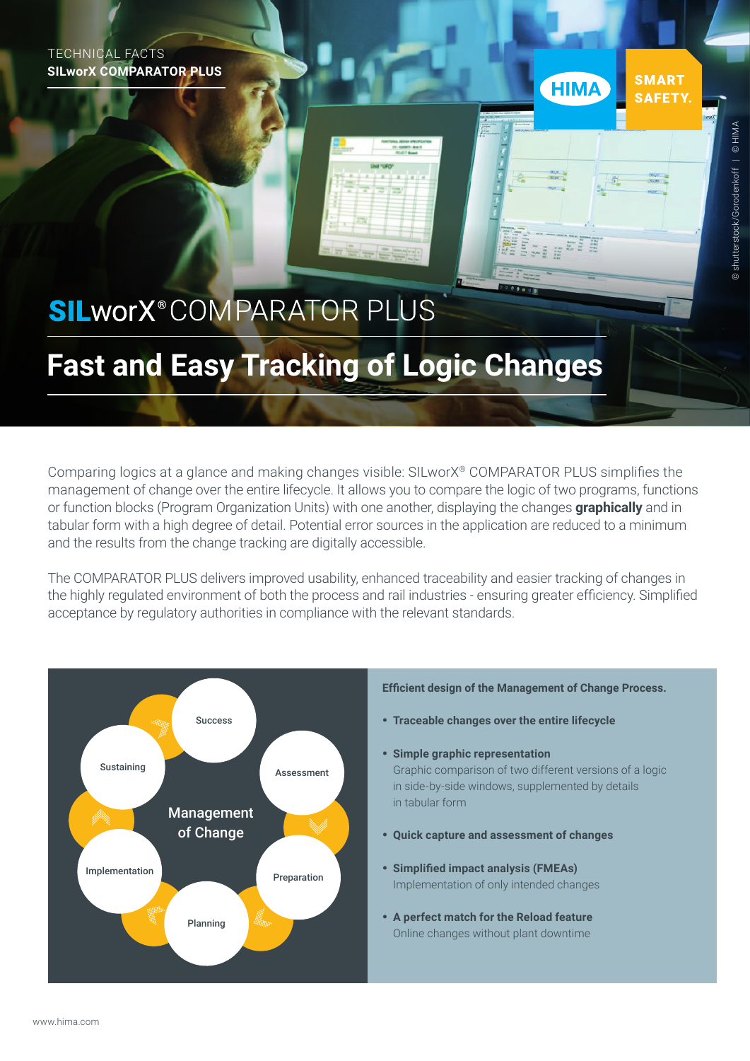TECHNICAL FACTS **SILworX COMPARATOR PLUS** 

# **SILworX**<sup>®</sup>COMPARATOR PLUS

# **Fast and Easy Tracking of Logic Changes**

Comparing logics at a glance and making changes visible: SILworX® COMPARATOR PLUS simplifies the management of change over the entire lifecycle. It allows you to compare the logic of two programs, functions or function blocks (Program Organization Units) with one another, displaying the changes **graphically** and in tabular form with a high degree of detail. Potential error sources in the application are reduced to a minimum and the results from the change tracking are digitally accessible.

The COMPARATOR PLUS delivers improved usability, enhanced traceability and easier tracking of changes in the highly regulated environment of both the process and rail industries - ensuring greater efficiency. Simplified acceptance by regulatory authorities in compliance with the relevant standards.



**SMART** 

**SAFETY** 

**HIMA**